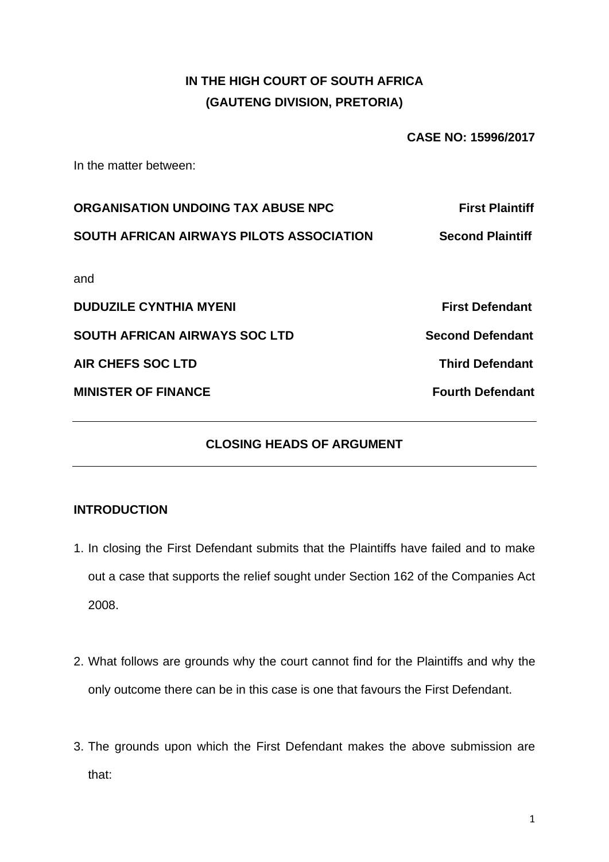# **IN THE HIGH COURT OF SOUTH AFRICA (GAUTENG DIVISION, PRETORIA)**

**CASE NO: 15996/2017**

In the matter between:

| ORGANISATION UNDOING TAX ABUSE NPC       | <b>First Plaintiff</b>  |
|------------------------------------------|-------------------------|
| SOUTH AFRICAN AIRWAYS PILOTS ASSOCIATION | <b>Second Plaintiff</b> |
| and                                      |                         |
| <b>DUDUZILE CYNTHIA MYENI</b>            | <b>First Defendant</b>  |
| <b>SOUTH AFRICAN AIRWAYS SOC LTD</b>     | <b>Second Defendant</b> |
| <b>AIR CHEFS SOC LTD</b>                 | <b>Third Defendant</b>  |
| <b>MINISTER OF FINANCE</b>               | <b>Fourth Defendant</b> |
|                                          |                         |

# **CLOSING HEADS OF ARGUMENT**

## **INTRODUCTION**

- 1. In closing the First Defendant submits that the Plaintiffs have failed and to make out a case that supports the relief sought under Section 162 of the Companies Act 2008.
- 2. What follows are grounds why the court cannot find for the Plaintiffs and why the only outcome there can be in this case is one that favours the First Defendant.
- 3. The grounds upon which the First Defendant makes the above submission are that: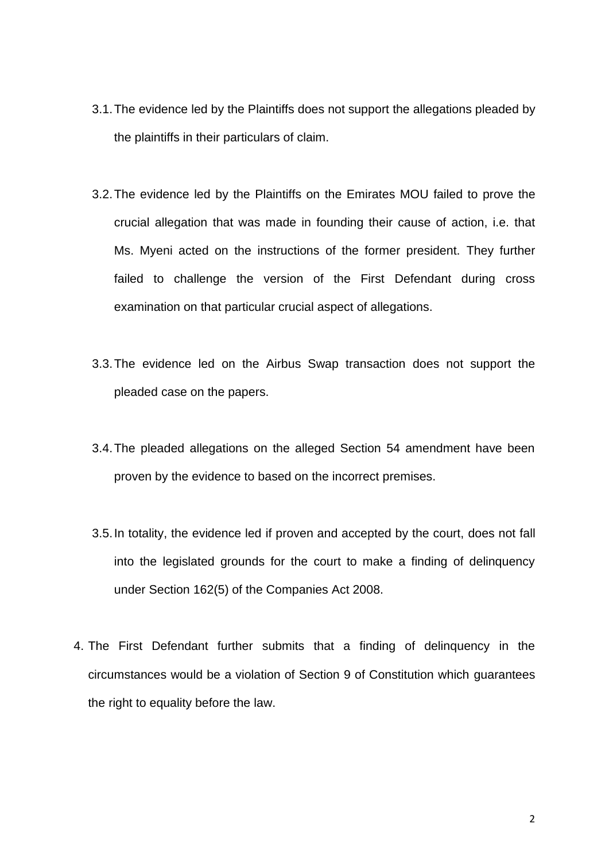- 3.1.The evidence led by the Plaintiffs does not support the allegations pleaded by the plaintiffs in their particulars of claim.
- 3.2.The evidence led by the Plaintiffs on the Emirates MOU failed to prove the crucial allegation that was made in founding their cause of action, i.e. that Ms. Myeni acted on the instructions of the former president. They further failed to challenge the version of the First Defendant during cross examination on that particular crucial aspect of allegations.
- 3.3.The evidence led on the Airbus Swap transaction does not support the pleaded case on the papers.
- 3.4.The pleaded allegations on the alleged Section 54 amendment have been proven by the evidence to based on the incorrect premises.
- 3.5.In totality, the evidence led if proven and accepted by the court, does not fall into the legislated grounds for the court to make a finding of delinquency under Section 162(5) of the Companies Act 2008.
- 4. The First Defendant further submits that a finding of delinquency in the circumstances would be a violation of Section 9 of Constitution which guarantees the right to equality before the law.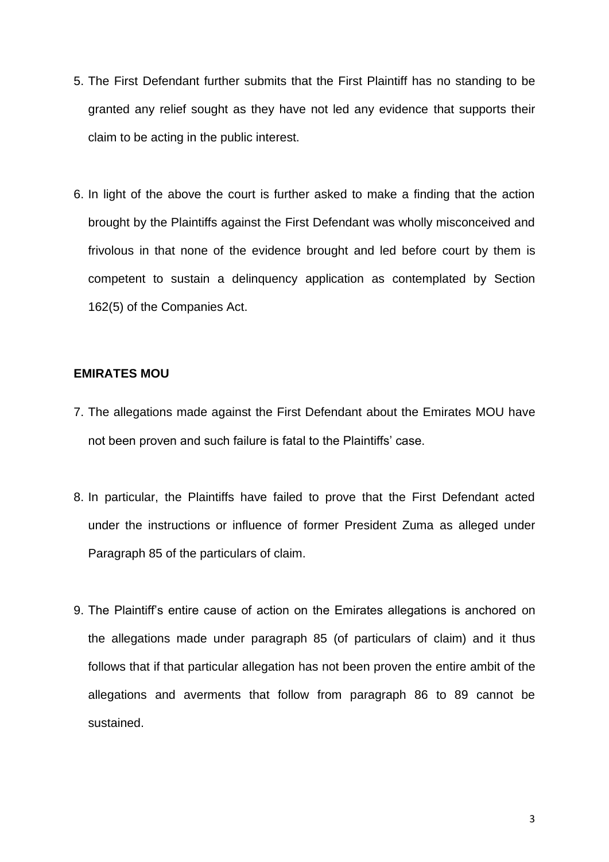- 5. The First Defendant further submits that the First Plaintiff has no standing to be granted any relief sought as they have not led any evidence that supports their claim to be acting in the public interest.
- 6. In light of the above the court is further asked to make a finding that the action brought by the Plaintiffs against the First Defendant was wholly misconceived and frivolous in that none of the evidence brought and led before court by them is competent to sustain a delinquency application as contemplated by Section 162(5) of the Companies Act.

#### **EMIRATES MOU**

- 7. The allegations made against the First Defendant about the Emirates MOU have not been proven and such failure is fatal to the Plaintiffs' case.
- 8. In particular, the Plaintiffs have failed to prove that the First Defendant acted under the instructions or influence of former President Zuma as alleged under Paragraph 85 of the particulars of claim.
- 9. The Plaintiff's entire cause of action on the Emirates allegations is anchored on the allegations made under paragraph 85 (of particulars of claim) and it thus follows that if that particular allegation has not been proven the entire ambit of the allegations and averments that follow from paragraph 86 to 89 cannot be sustained.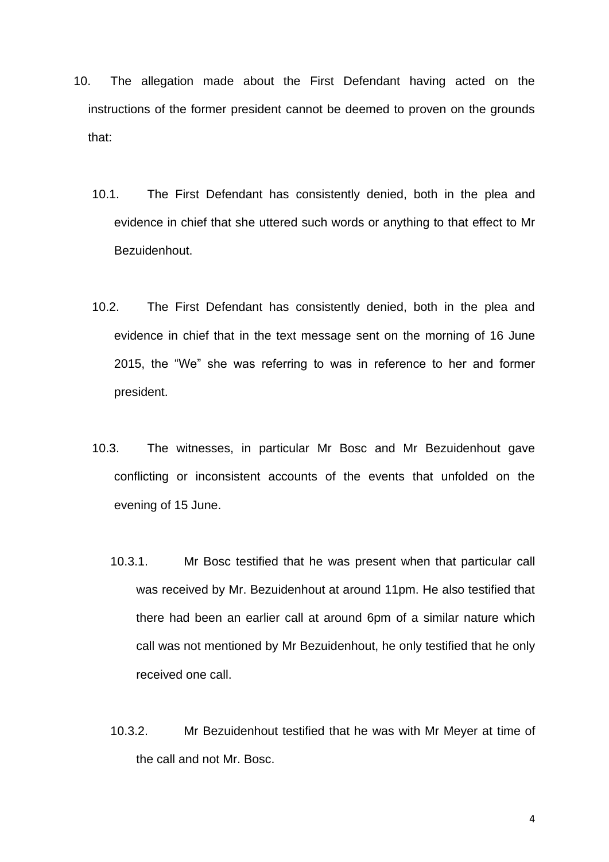- 10. The allegation made about the First Defendant having acted on the instructions of the former president cannot be deemed to proven on the grounds that:
	- 10.1. The First Defendant has consistently denied, both in the plea and evidence in chief that she uttered such words or anything to that effect to Mr Bezuidenhout.
	- 10.2. The First Defendant has consistently denied, both in the plea and evidence in chief that in the text message sent on the morning of 16 June 2015, the "We" she was referring to was in reference to her and former president.
	- 10.3. The witnesses, in particular Mr Bosc and Mr Bezuidenhout gave conflicting or inconsistent accounts of the events that unfolded on the evening of 15 June.
		- 10.3.1. Mr Bosc testified that he was present when that particular call was received by Mr. Bezuidenhout at around 11pm. He also testified that there had been an earlier call at around 6pm of a similar nature which call was not mentioned by Mr Bezuidenhout, he only testified that he only received one call.
		- 10.3.2. Mr Bezuidenhout testified that he was with Mr Meyer at time of the call and not Mr. Bosc.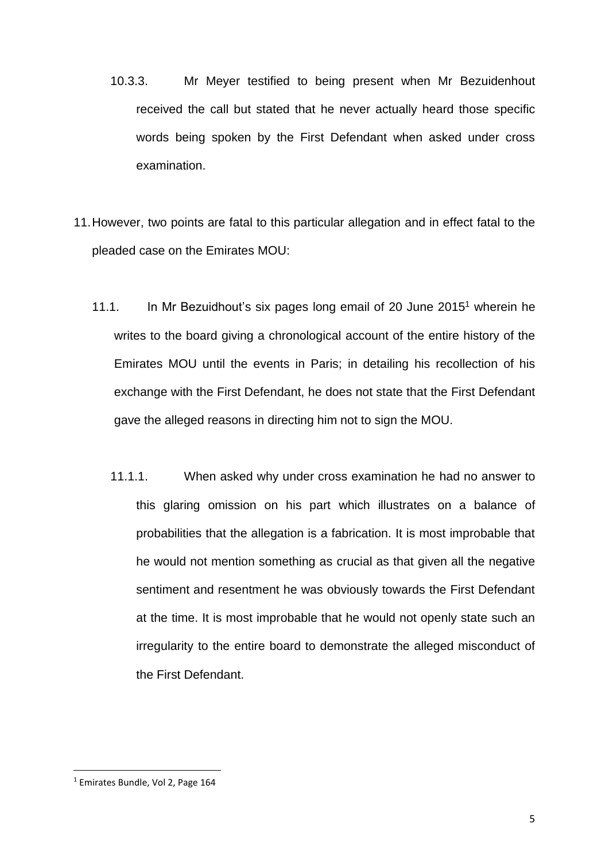- 10.3.3. Mr Meyer testified to being present when Mr Bezuidenhout received the call but stated that he never actually heard those specific words being spoken by the First Defendant when asked under cross examination.
- 11.However, two points are fatal to this particular allegation and in effect fatal to the pleaded case on the Emirates MOU:
	- 11.1. In Mr Bezuidhout's six pages long email of 20 June 2015<sup>1</sup> wherein he writes to the board giving a chronological account of the entire history of the Emirates MOU until the events in Paris; in detailing his recollection of his exchange with the First Defendant, he does not state that the First Defendant gave the alleged reasons in directing him not to sign the MOU.
		- 11.1.1. When asked why under cross examination he had no answer to this glaring omission on his part which illustrates on a balance of probabilities that the allegation is a fabrication. It is most improbable that he would not mention something as crucial as that given all the negative sentiment and resentment he was obviously towards the First Defendant at the time. It is most improbable that he would not openly state such an irregularity to the entire board to demonstrate the alleged misconduct of the First Defendant.

<sup>1</sup> Emirates Bundle, Vol 2, Page 164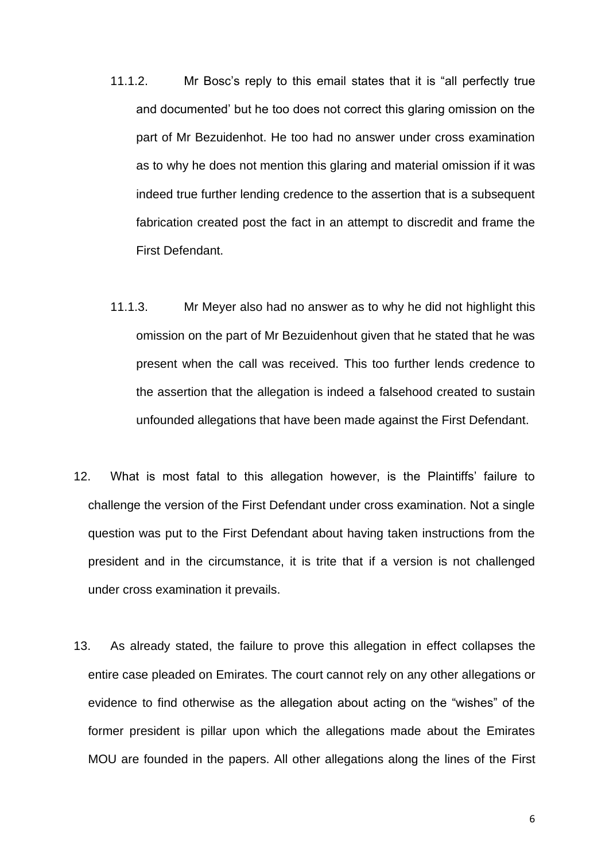- 11.1.2. Mr Bosc's reply to this email states that it is "all perfectly true and documented' but he too does not correct this glaring omission on the part of Mr Bezuidenhot. He too had no answer under cross examination as to why he does not mention this glaring and material omission if it was indeed true further lending credence to the assertion that is a subsequent fabrication created post the fact in an attempt to discredit and frame the First Defendant.
- 11.1.3. Mr Meyer also had no answer as to why he did not highlight this omission on the part of Mr Bezuidenhout given that he stated that he was present when the call was received. This too further lends credence to the assertion that the allegation is indeed a falsehood created to sustain unfounded allegations that have been made against the First Defendant.
- 12. What is most fatal to this allegation however, is the Plaintiffs' failure to challenge the version of the First Defendant under cross examination. Not a single question was put to the First Defendant about having taken instructions from the president and in the circumstance, it is trite that if a version is not challenged under cross examination it prevails.
- 13. As already stated, the failure to prove this allegation in effect collapses the entire case pleaded on Emirates. The court cannot rely on any other allegations or evidence to find otherwise as the allegation about acting on the "wishes" of the former president is pillar upon which the allegations made about the Emirates MOU are founded in the papers. All other allegations along the lines of the First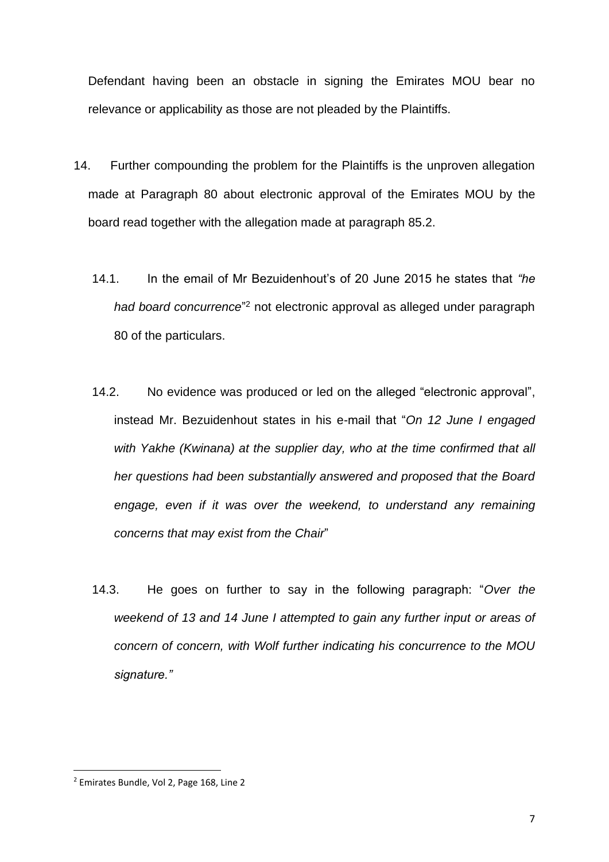Defendant having been an obstacle in signing the Emirates MOU bear no relevance or applicability as those are not pleaded by the Plaintiffs.

- 14. Further compounding the problem for the Plaintiffs is the unproven allegation made at Paragraph 80 about electronic approval of the Emirates MOU by the board read together with the allegation made at paragraph 85.2.
	- 14.1. In the email of Mr Bezuidenhout's of 20 June 2015 he states that *"he*  had board concurrence<sup>"2</sup> not electronic approval as alleged under paragraph 80 of the particulars.
	- 14.2. No evidence was produced or led on the alleged "electronic approval", instead Mr. Bezuidenhout states in his e-mail that "*On 12 June I engaged with Yakhe (Kwinana) at the supplier day, who at the time confirmed that all her questions had been substantially answered and proposed that the Board engage, even if it was over the weekend, to understand any remaining concerns that may exist from the Chair*"
	- 14.3. He goes on further to say in the following paragraph: "*Over the weekend of 13 and 14 June I attempted to gain any further input or areas of concern of concern, with Wolf further indicating his concurrence to the MOU signature."*

<sup>2</sup> Emirates Bundle, Vol 2, Page 168, Line 2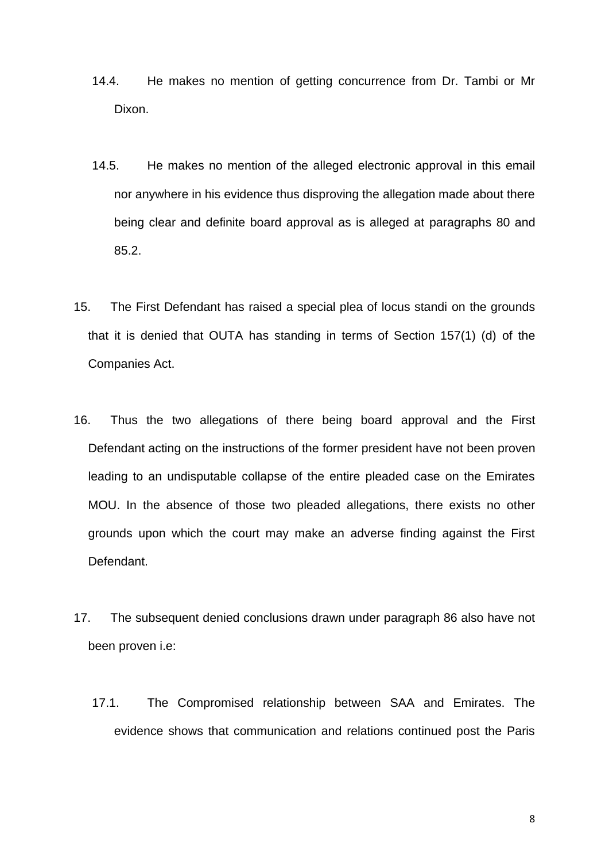- 14.4. He makes no mention of getting concurrence from Dr. Tambi or Mr Dixon.
- 14.5. He makes no mention of the alleged electronic approval in this email nor anywhere in his evidence thus disproving the allegation made about there being clear and definite board approval as is alleged at paragraphs 80 and 85.2.
- 15. The First Defendant has raised a special plea of locus standi on the grounds that it is denied that OUTA has standing in terms of Section 157(1) (d) of the Companies Act.
- 16. Thus the two allegations of there being board approval and the First Defendant acting on the instructions of the former president have not been proven leading to an undisputable collapse of the entire pleaded case on the Emirates MOU. In the absence of those two pleaded allegations, there exists no other grounds upon which the court may make an adverse finding against the First Defendant.
- 17. The subsequent denied conclusions drawn under paragraph 86 also have not been proven i.e:
	- 17.1. The Compromised relationship between SAA and Emirates. The evidence shows that communication and relations continued post the Paris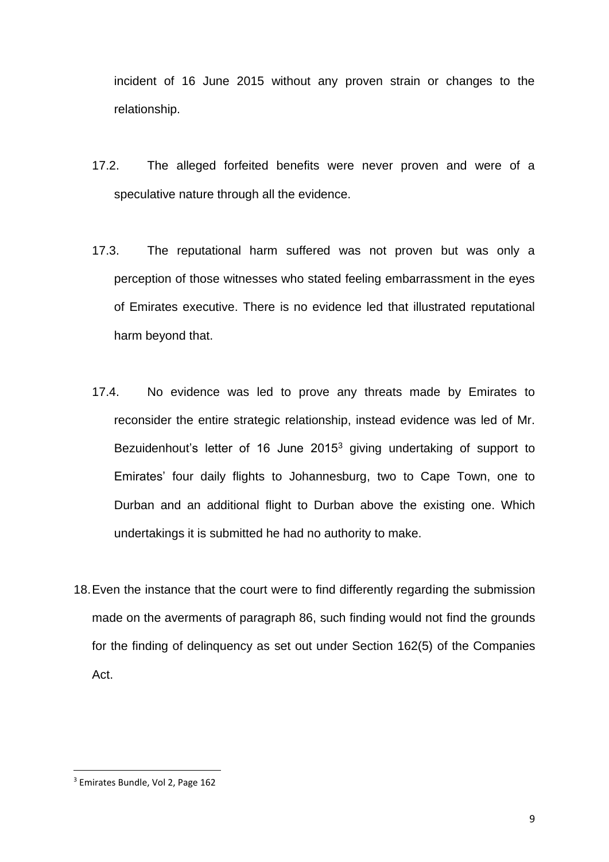incident of 16 June 2015 without any proven strain or changes to the relationship.

- 17.2. The alleged forfeited benefits were never proven and were of a speculative nature through all the evidence.
- 17.3. The reputational harm suffered was not proven but was only a perception of those witnesses who stated feeling embarrassment in the eyes of Emirates executive. There is no evidence led that illustrated reputational harm beyond that.
- 17.4. No evidence was led to prove any threats made by Emirates to reconsider the entire strategic relationship, instead evidence was led of Mr. Bezuidenhout's letter of 16 June 2015<sup>3</sup> giving undertaking of support to Emirates' four daily flights to Johannesburg, two to Cape Town, one to Durban and an additional flight to Durban above the existing one. Which undertakings it is submitted he had no authority to make.
- 18.Even the instance that the court were to find differently regarding the submission made on the averments of paragraph 86, such finding would not find the grounds for the finding of delinquency as set out under Section 162(5) of the Companies Act.

<sup>3</sup> Emirates Bundle, Vol 2, Page 162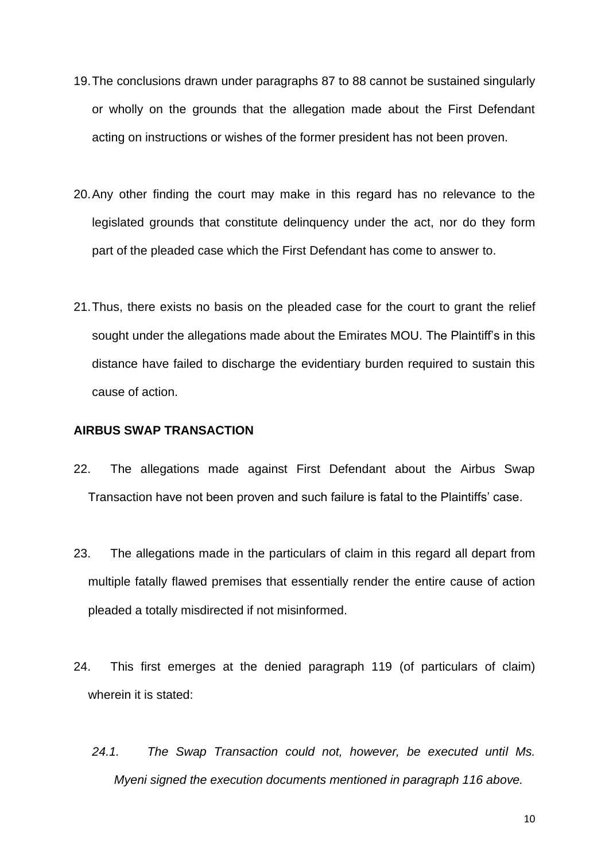- 19.The conclusions drawn under paragraphs 87 to 88 cannot be sustained singularly or wholly on the grounds that the allegation made about the First Defendant acting on instructions or wishes of the former president has not been proven.
- 20.Any other finding the court may make in this regard has no relevance to the legislated grounds that constitute delinquency under the act, nor do they form part of the pleaded case which the First Defendant has come to answer to.
- 21.Thus, there exists no basis on the pleaded case for the court to grant the relief sought under the allegations made about the Emirates MOU. The Plaintiff's in this distance have failed to discharge the evidentiary burden required to sustain this cause of action.

#### **AIRBUS SWAP TRANSACTION**

- 22. The allegations made against First Defendant about the Airbus Swap Transaction have not been proven and such failure is fatal to the Plaintiffs' case.
- 23. The allegations made in the particulars of claim in this regard all depart from multiple fatally flawed premises that essentially render the entire cause of action pleaded a totally misdirected if not misinformed.
- 24. This first emerges at the denied paragraph 119 (of particulars of claim) wherein it is stated:
	- *24.1. The Swap Transaction could not, however, be executed until Ms. Myeni signed the execution documents mentioned in paragraph 116 above.*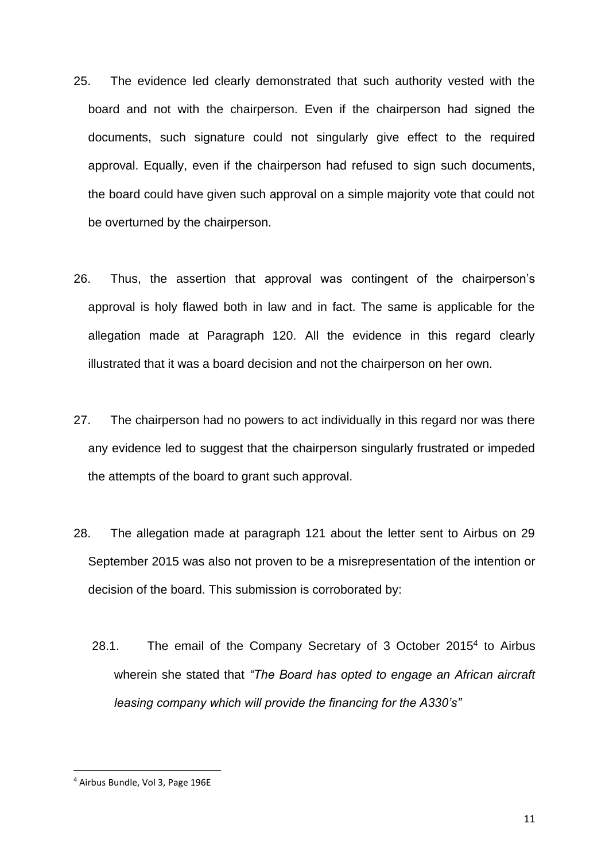- 25. The evidence led clearly demonstrated that such authority vested with the board and not with the chairperson. Even if the chairperson had signed the documents, such signature could not singularly give effect to the required approval. Equally, even if the chairperson had refused to sign such documents, the board could have given such approval on a simple majority vote that could not be overturned by the chairperson.
- 26. Thus, the assertion that approval was contingent of the chairperson's approval is holy flawed both in law and in fact. The same is applicable for the allegation made at Paragraph 120. All the evidence in this regard clearly illustrated that it was a board decision and not the chairperson on her own.
- 27. The chairperson had no powers to act individually in this regard nor was there any evidence led to suggest that the chairperson singularly frustrated or impeded the attempts of the board to grant such approval.
- 28. The allegation made at paragraph 121 about the letter sent to Airbus on 29 September 2015 was also not proven to be a misrepresentation of the intention or decision of the board. This submission is corroborated by:
	- 28.1. The email of the Company Secretary of 3 October 2015<sup>4</sup> to Airbus wherein she stated that *"The Board has opted to engage an African aircraft leasing company which will provide the financing for the A330's"*

<sup>4</sup> Airbus Bundle, Vol 3, Page 196E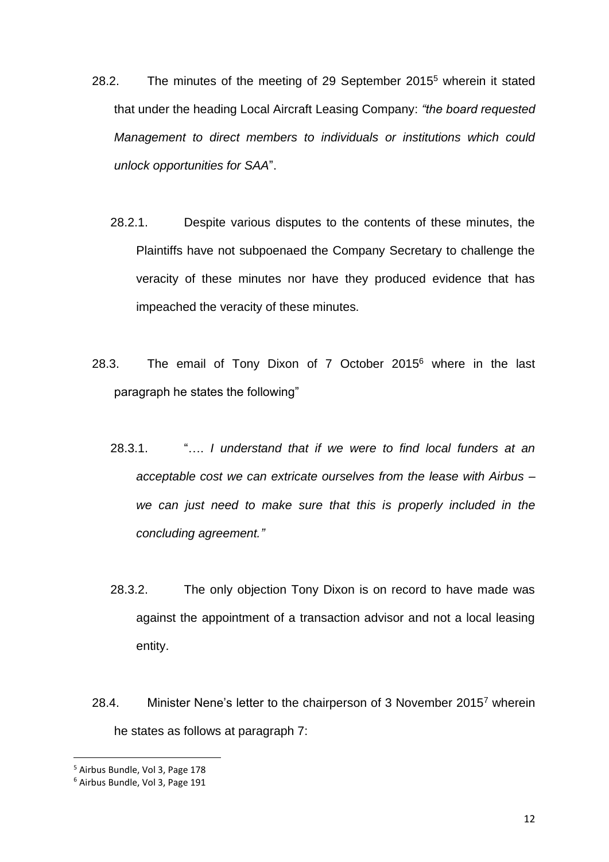- 28.2. The minutes of the meeting of 29 September 2015<sup>5</sup> wherein it stated that under the heading Local Aircraft Leasing Company: *"the board requested Management to direct members to individuals or institutions which could unlock opportunities for SAA*".
	- 28.2.1. Despite various disputes to the contents of these minutes, the Plaintiffs have not subpoenaed the Company Secretary to challenge the veracity of these minutes nor have they produced evidence that has impeached the veracity of these minutes.
- 28.3. The email of Tony Dixon of 7 October 2015<sup>6</sup> where in the last paragraph he states the following"
	- 28.3.1. "…. *I understand that if we were to find local funders at an acceptable cost we can extricate ourselves from the lease with Airbus – we can just need to make sure that this is properly included in the concluding agreement."*
	- 28.3.2. The only objection Tony Dixon is on record to have made was against the appointment of a transaction advisor and not a local leasing entity.
- 28.4. Minister Nene's letter to the chairperson of 3 November 2015<sup>7</sup> wherein he states as follows at paragraph 7:

<sup>5</sup> Airbus Bundle, Vol 3, Page 178

<sup>6</sup> Airbus Bundle, Vol 3, Page 191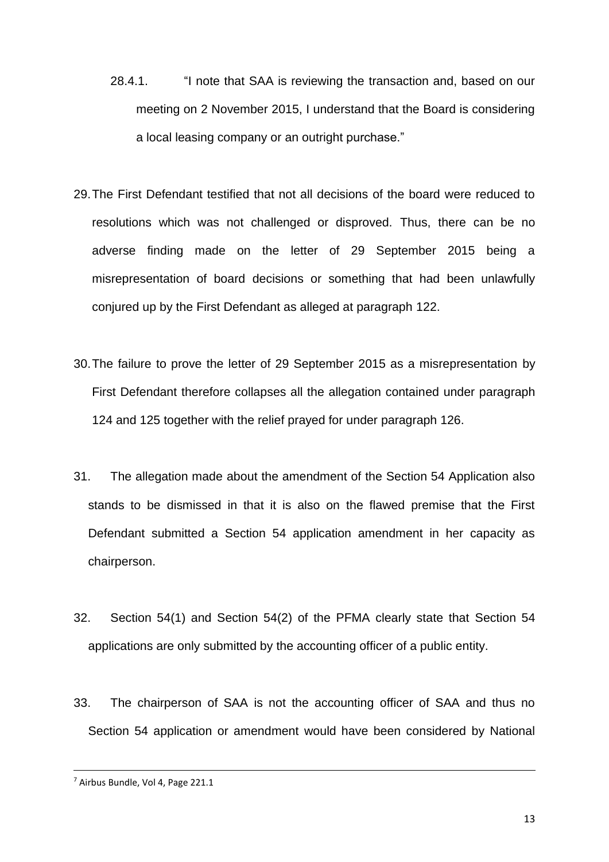- 28.4.1. "I note that SAA is reviewing the transaction and, based on our meeting on 2 November 2015, I understand that the Board is considering a local leasing company or an outright purchase."
- 29.The First Defendant testified that not all decisions of the board were reduced to resolutions which was not challenged or disproved. Thus, there can be no adverse finding made on the letter of 29 September 2015 being a misrepresentation of board decisions or something that had been unlawfully conjured up by the First Defendant as alleged at paragraph 122.
- 30.The failure to prove the letter of 29 September 2015 as a misrepresentation by First Defendant therefore collapses all the allegation contained under paragraph 124 and 125 together with the relief prayed for under paragraph 126.
- 31. The allegation made about the amendment of the Section 54 Application also stands to be dismissed in that it is also on the flawed premise that the First Defendant submitted a Section 54 application amendment in her capacity as chairperson.
- 32. Section 54(1) and Section 54(2) of the PFMA clearly state that Section 54 applications are only submitted by the accounting officer of a public entity.
- 33. The chairperson of SAA is not the accounting officer of SAA and thus no Section 54 application or amendment would have been considered by National

<sup>7</sup> Airbus Bundle, Vol 4, Page 221.1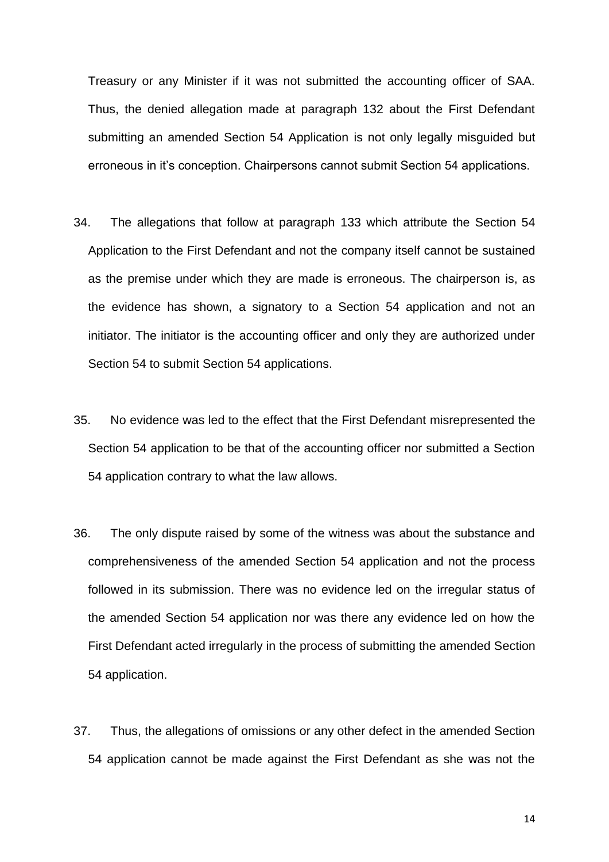Treasury or any Minister if it was not submitted the accounting officer of SAA. Thus, the denied allegation made at paragraph 132 about the First Defendant submitting an amended Section 54 Application is not only legally misguided but erroneous in it's conception. Chairpersons cannot submit Section 54 applications.

- 34. The allegations that follow at paragraph 133 which attribute the Section 54 Application to the First Defendant and not the company itself cannot be sustained as the premise under which they are made is erroneous. The chairperson is, as the evidence has shown, a signatory to a Section 54 application and not an initiator. The initiator is the accounting officer and only they are authorized under Section 54 to submit Section 54 applications.
- 35. No evidence was led to the effect that the First Defendant misrepresented the Section 54 application to be that of the accounting officer nor submitted a Section 54 application contrary to what the law allows.
- 36. The only dispute raised by some of the witness was about the substance and comprehensiveness of the amended Section 54 application and not the process followed in its submission. There was no evidence led on the irregular status of the amended Section 54 application nor was there any evidence led on how the First Defendant acted irregularly in the process of submitting the amended Section 54 application.
- 37. Thus, the allegations of omissions or any other defect in the amended Section 54 application cannot be made against the First Defendant as she was not the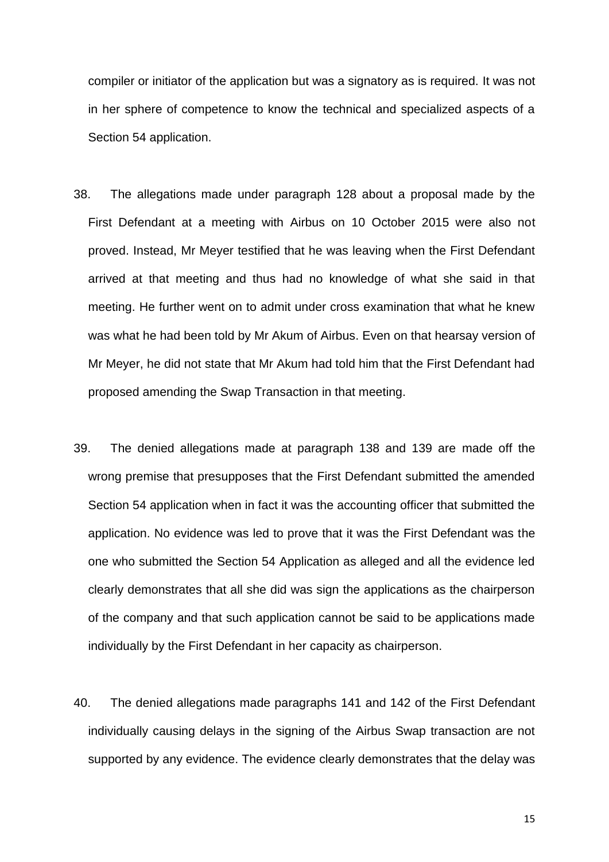compiler or initiator of the application but was a signatory as is required. It was not in her sphere of competence to know the technical and specialized aspects of a Section 54 application.

- 38. The allegations made under paragraph 128 about a proposal made by the First Defendant at a meeting with Airbus on 10 October 2015 were also not proved. Instead, Mr Meyer testified that he was leaving when the First Defendant arrived at that meeting and thus had no knowledge of what she said in that meeting. He further went on to admit under cross examination that what he knew was what he had been told by Mr Akum of Airbus. Even on that hearsay version of Mr Meyer, he did not state that Mr Akum had told him that the First Defendant had proposed amending the Swap Transaction in that meeting.
- 39. The denied allegations made at paragraph 138 and 139 are made off the wrong premise that presupposes that the First Defendant submitted the amended Section 54 application when in fact it was the accounting officer that submitted the application. No evidence was led to prove that it was the First Defendant was the one who submitted the Section 54 Application as alleged and all the evidence led clearly demonstrates that all she did was sign the applications as the chairperson of the company and that such application cannot be said to be applications made individually by the First Defendant in her capacity as chairperson.
- 40. The denied allegations made paragraphs 141 and 142 of the First Defendant individually causing delays in the signing of the Airbus Swap transaction are not supported by any evidence. The evidence clearly demonstrates that the delay was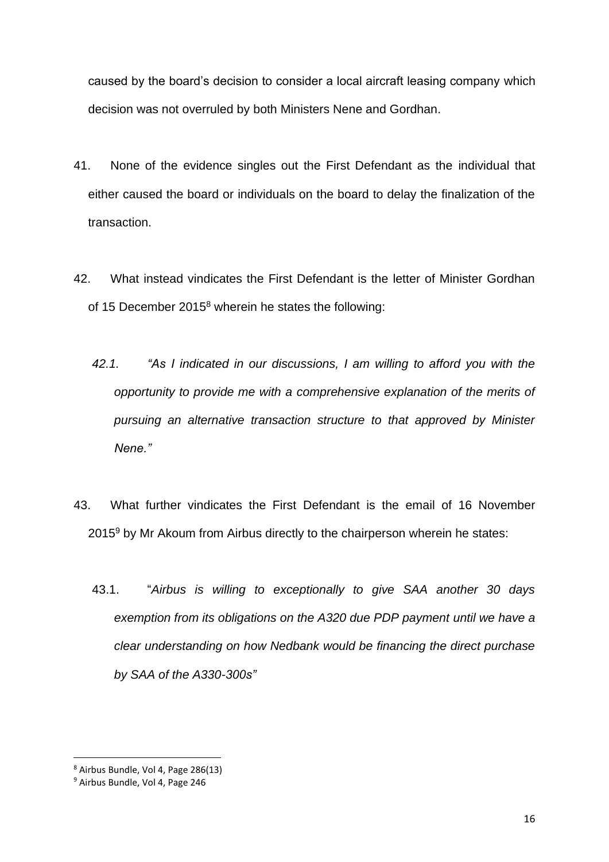caused by the board's decision to consider a local aircraft leasing company which decision was not overruled by both Ministers Nene and Gordhan.

- 41. None of the evidence singles out the First Defendant as the individual that either caused the board or individuals on the board to delay the finalization of the transaction.
- 42. What instead vindicates the First Defendant is the letter of Minister Gordhan of 15 December 2015<sup>8</sup> wherein he states the following:
	- *42.1. "As I indicated in our discussions, I am willing to afford you with the opportunity to provide me with a comprehensive explanation of the merits of pursuing an alternative transaction structure to that approved by Minister Nene."*
- 43. What further vindicates the First Defendant is the email of 16 November 2015<sup>9</sup> by Mr Akoum from Airbus directly to the chairperson wherein he states:
	- 43.1. "*Airbus is willing to exceptionally to give SAA another 30 days exemption from its obligations on the A320 due PDP payment until we have a clear understanding on how Nedbank would be financing the direct purchase by SAA of the A330-300s"*

<sup>8</sup> Airbus Bundle, Vol 4, Page 286(13)

<sup>9</sup> Airbus Bundle, Vol 4, Page 246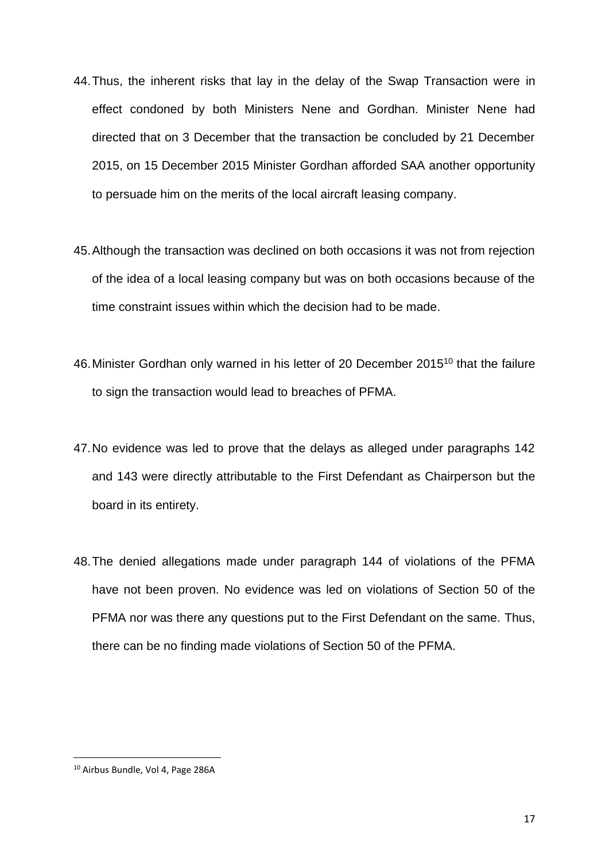- 44.Thus, the inherent risks that lay in the delay of the Swap Transaction were in effect condoned by both Ministers Nene and Gordhan. Minister Nene had directed that on 3 December that the transaction be concluded by 21 December 2015, on 15 December 2015 Minister Gordhan afforded SAA another opportunity to persuade him on the merits of the local aircraft leasing company.
- 45.Although the transaction was declined on both occasions it was not from rejection of the idea of a local leasing company but was on both occasions because of the time constraint issues within which the decision had to be made.
- 46. Minister Gordhan only warned in his letter of 20 December 2015<sup>10</sup> that the failure to sign the transaction would lead to breaches of PFMA.
- 47.No evidence was led to prove that the delays as alleged under paragraphs 142 and 143 were directly attributable to the First Defendant as Chairperson but the board in its entirety.
- 48.The denied allegations made under paragraph 144 of violations of the PFMA have not been proven. No evidence was led on violations of Section 50 of the PFMA nor was there any questions put to the First Defendant on the same. Thus, there can be no finding made violations of Section 50 of the PFMA.

<sup>10</sup> Airbus Bundle, Vol 4, Page 286A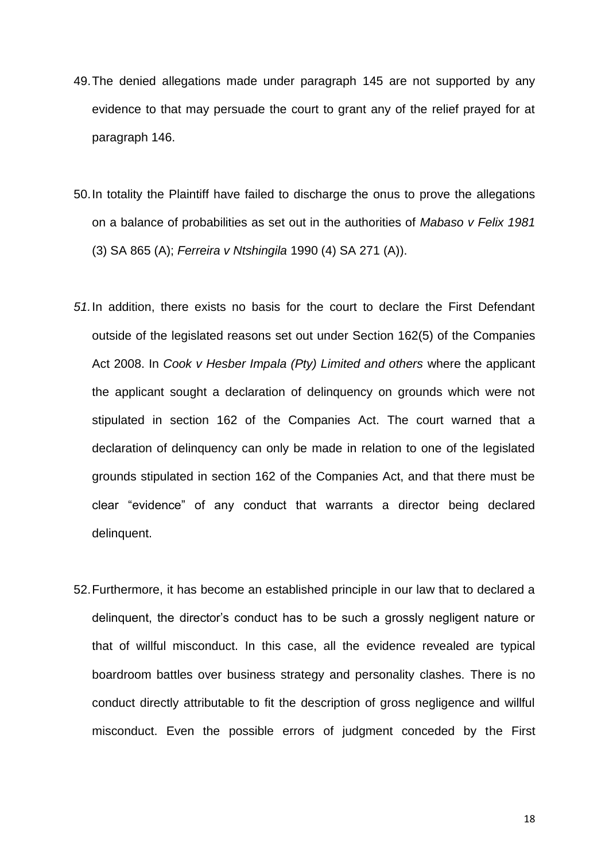- 49.The denied allegations made under paragraph 145 are not supported by any evidence to that may persuade the court to grant any of the relief prayed for at paragraph 146.
- 50.In totality the Plaintiff have failed to discharge the onus to prove the allegations on a balance of probabilities as set out in the authorities of *Mabaso v Felix 1981* (3) SA 865 (A); *Ferreira v Ntshingila* 1990 (4) SA 271 (A)).
- *51.*In addition, there exists no basis for the court to declare the First Defendant outside of the legislated reasons set out under Section 162(5) of the Companies Act 2008. In *Cook v Hesber Impala (Pty) Limited and others* where the applicant the applicant sought a declaration of delinquency on grounds which were not stipulated in section 162 of the Companies Act. The court warned that a declaration of delinquency can only be made in relation to one of the legislated grounds stipulated in section 162 of the Companies Act, and that there must be clear "evidence" of any conduct that warrants a director being declared delinquent.
- 52.Furthermore, it has become an established principle in our law that to declared a delinquent, the director's conduct has to be such a grossly negligent nature or that of willful misconduct. In this case, all the evidence revealed are typical boardroom battles over business strategy and personality clashes. There is no conduct directly attributable to fit the description of gross negligence and willful misconduct. Even the possible errors of judgment conceded by the First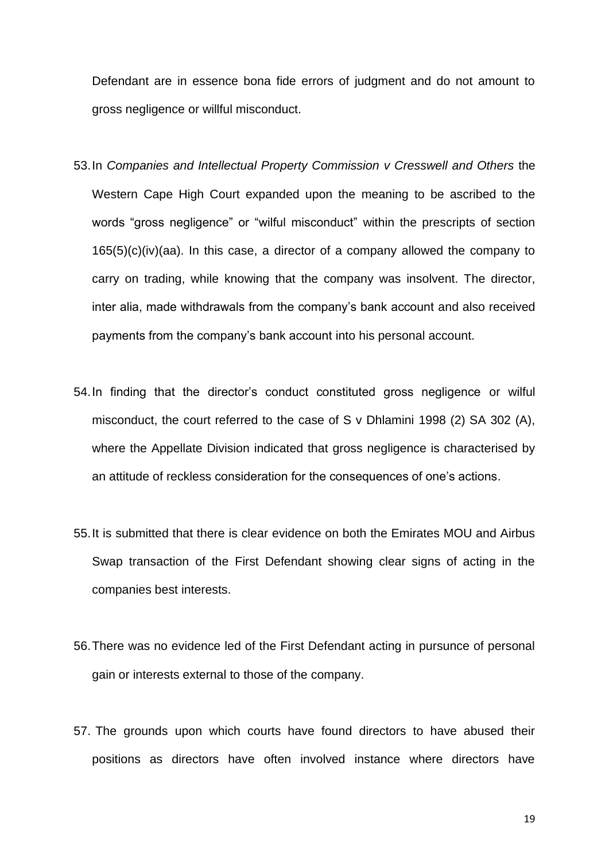Defendant are in essence bona fide errors of judgment and do not amount to gross negligence or willful misconduct.

- 53.In *Companies and Intellectual Property Commission v Cresswell and Others* the Western Cape High Court expanded upon the meaning to be ascribed to the words "gross negligence" or "wilful misconduct" within the prescripts of section 165(5)(c)(iv)(aa). In this case, a director of a company allowed the company to carry on trading, while knowing that the company was insolvent. The director, inter alia, made withdrawals from the company's bank account and also received payments from the company's bank account into his personal account.
- 54.In finding that the director's conduct constituted gross negligence or wilful misconduct, the court referred to the case of S v Dhlamini 1998 (2) SA 302 (A), where the Appellate Division indicated that gross negligence is characterised by an attitude of reckless consideration for the consequences of one's actions.
- 55.It is submitted that there is clear evidence on both the Emirates MOU and Airbus Swap transaction of the First Defendant showing clear signs of acting in the companies best interests.
- 56.There was no evidence led of the First Defendant acting in pursunce of personal gain or interests external to those of the company.
- 57. The grounds upon which courts have found directors to have abused their positions as directors have often involved instance where directors have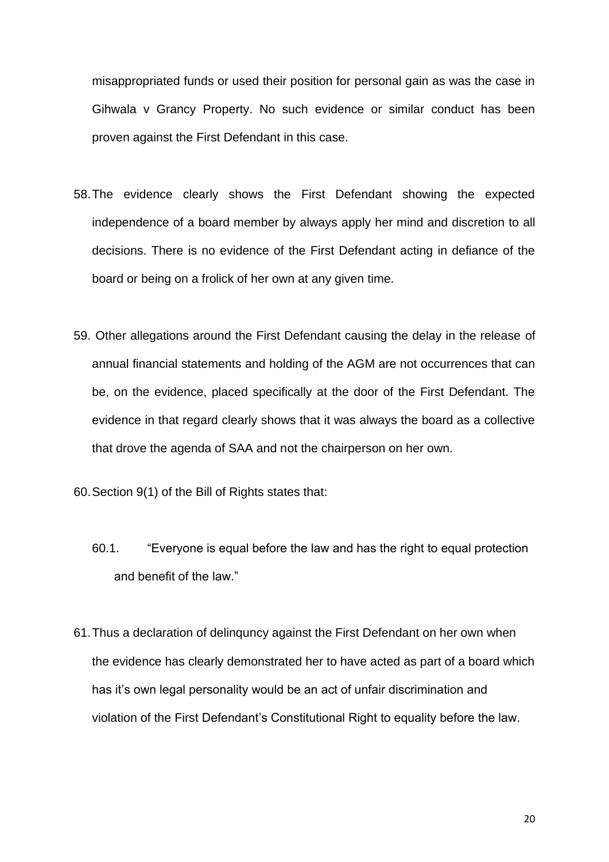misappropriated funds or used their position for personal gain as was the case in Gihwala v Grancy Property. No such evidence or similar conduct has been proven against the First Defendant in this case.

- 58.The evidence clearly shows the First Defendant showing the expected independence of a board member by always apply her mind and discretion to all decisions. There is no evidence of the First Defendant acting in defiance of the board or being on a frolick of her own at any given time.
- 59. Other allegations around the First Defendant causing the delay in the release of annual financial statements and holding of the AGM are not occurrences that can be, on the evidence, placed specifically at the door of the First Defendant. The evidence in that regard clearly shows that it was always the board as a collective that drove the agenda of SAA and not the chairperson on her own.
- 60.Section 9(1) of the Bill of Rights states that:
	- 60.1. "Everyone is equal before the law and has the right to equal protection and benefit of the law."
- 61.Thus a declaration of delinquncy against the First Defendant on her own when the evidence has clearly demonstrated her to have acted as part of a board which has it's own legal personality would be an act of unfair discrimination and violation of the First Defendant's Constitutional Right to equality before the law.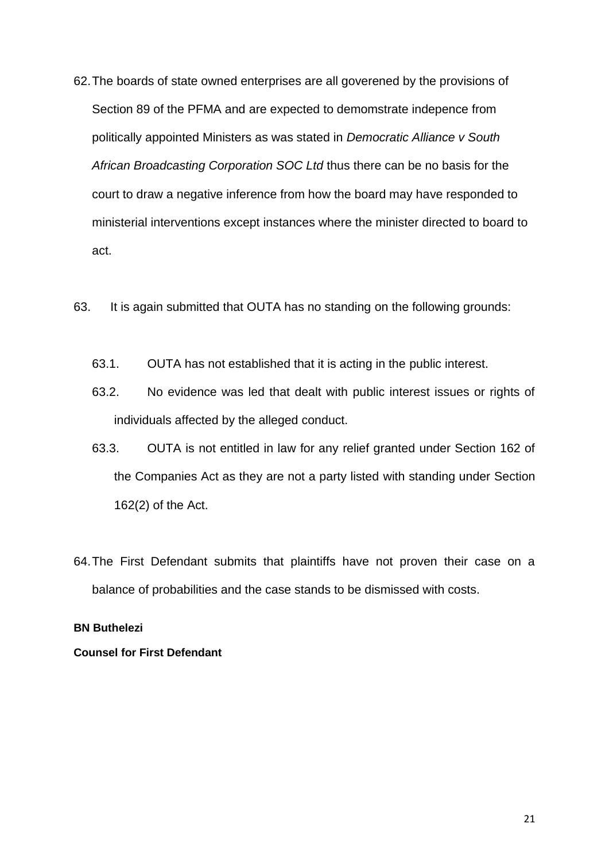- 62.The boards of state owned enterprises are all goverened by the provisions of Section 89 of the PFMA and are expected to demomstrate indepence from politically appointed Ministers as was stated in *Democratic Alliance v South African Broadcasting Corporation SOC Ltd* thus there can be no basis for the court to draw a negative inference from how the board may have responded to ministerial interventions except instances where the minister directed to board to act.
- 63. It is again submitted that OUTA has no standing on the following grounds:
	- 63.1. OUTA has not established that it is acting in the public interest.
	- 63.2. No evidence was led that dealt with public interest issues or rights of individuals affected by the alleged conduct.
	- 63.3. OUTA is not entitled in law for any relief granted under Section 162 of the Companies Act as they are not a party listed with standing under Section 162(2) of the Act.
- 64.The First Defendant submits that plaintiffs have not proven their case on a balance of probabilities and the case stands to be dismissed with costs.

## **BN Buthelezi**

## **Counsel for First Defendant**